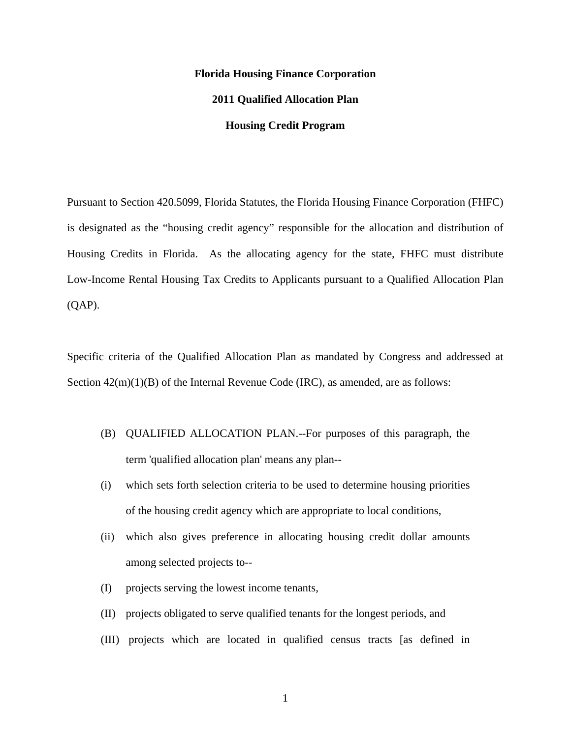# **Florida Housing Finance Corporation 2011 Qualified Allocation Plan Housing Credit Program**

Pursuant to Section 420.5099, Florida Statutes, the Florida Housing Finance Corporation (FHFC) is designated as the "housing credit agency" responsible for the allocation and distribution of Housing Credits in Florida. As the allocating agency for the state, FHFC must distribute Low-Income Rental Housing Tax Credits to Applicants pursuant to a Qualified Allocation Plan (QAP).

Specific criteria of the Qualified Allocation Plan as mandated by Congress and addressed at Section  $42(m)(1)(B)$  of the Internal Revenue Code (IRC), as amended, are as follows:

- (B) QUALIFIED ALLOCATION PLAN.--For purposes of this paragraph, the term 'qualified allocation plan' means any plan--
- (i) which sets forth selection criteria to be used to determine housing priorities of the housing credit agency which are appropriate to local conditions,
- (ii) which also gives preference in allocating housing credit dollar amounts among selected projects to--
- (I) projects serving the lowest income tenants,
- (II) projects obligated to serve qualified tenants for the longest periods, and
- (III) projects which are located in qualified census tracts [as defined in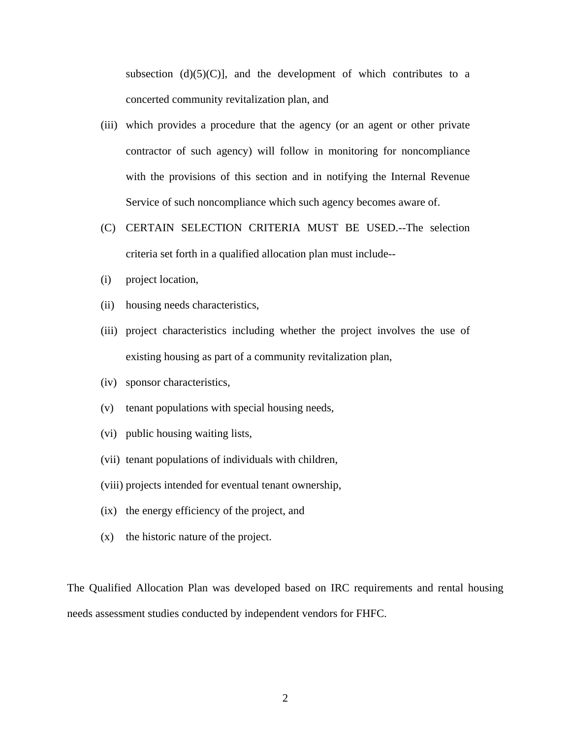subsection  $(d)(5)(C)$ ], and the development of which contributes to a concerted community revitalization plan, and

- (iii) which provides a procedure that the agency (or an agent or other private contractor of such agency) will follow in monitoring for noncompliance with the provisions of this section and in notifying the Internal Revenue Service of such noncompliance which such agency becomes aware of.
- (C) CERTAIN SELECTION CRITERIA MUST BE USED.--The selection criteria set forth in a qualified allocation plan must include--
- (i) project location,
- (ii) housing needs characteristics,
- (iii) project characteristics including whether the project involves the use of existing housing as part of a community revitalization plan,
- (iv) sponsor characteristics,
- (v) tenant populations with special housing needs,
- (vi) public housing waiting lists,
- (vii) tenant populations of individuals with children,
- (viii) projects intended for eventual tenant ownership,
- (ix) the energy efficiency of the project, and
- (x) the historic nature of the project.

The Qualified Allocation Plan was developed based on IRC requirements and rental housing needs assessment studies conducted by independent vendors for FHFC.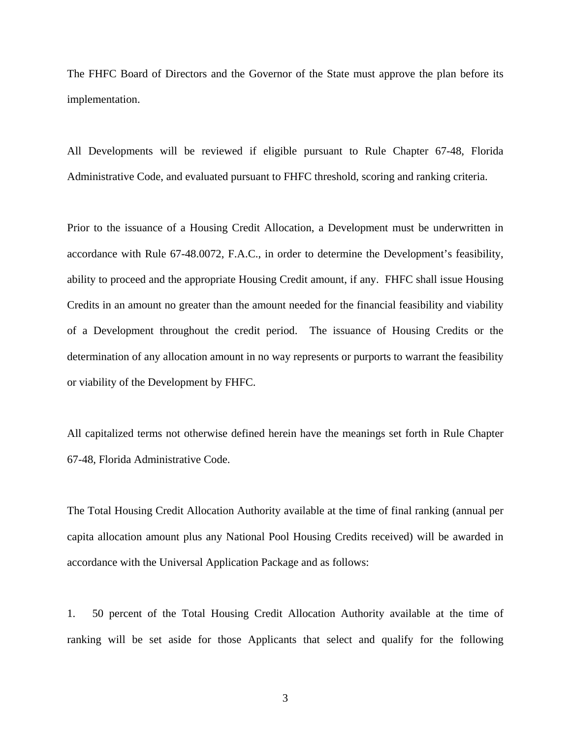The FHFC Board of Directors and the Governor of the State must approve the plan before its implementation.

All Developments will be reviewed if eligible pursuant to Rule Chapter 67-48, Florida Administrative Code, and evaluated pursuant to FHFC threshold, scoring and ranking criteria.

Prior to the issuance of a Housing Credit Allocation, a Development must be underwritten in accordance with Rule 67-48.0072, F.A.C., in order to determine the Development's feasibility, ability to proceed and the appropriate Housing Credit amount, if any. FHFC shall issue Housing Credits in an amount no greater than the amount needed for the financial feasibility and viability of a Development throughout the credit period. The issuance of Housing Credits or the determination of any allocation amount in no way represents or purports to warrant the feasibility or viability of the Development by FHFC.

All capitalized terms not otherwise defined herein have the meanings set forth in Rule Chapter 67-48, Florida Administrative Code.

The Total Housing Credit Allocation Authority available at the time of final ranking (annual per capita allocation amount plus any National Pool Housing Credits received) will be awarded in accordance with the Universal Application Package and as follows:

1. 50 percent of the Total Housing Credit Allocation Authority available at the time of ranking will be set aside for those Applicants that select and qualify for the following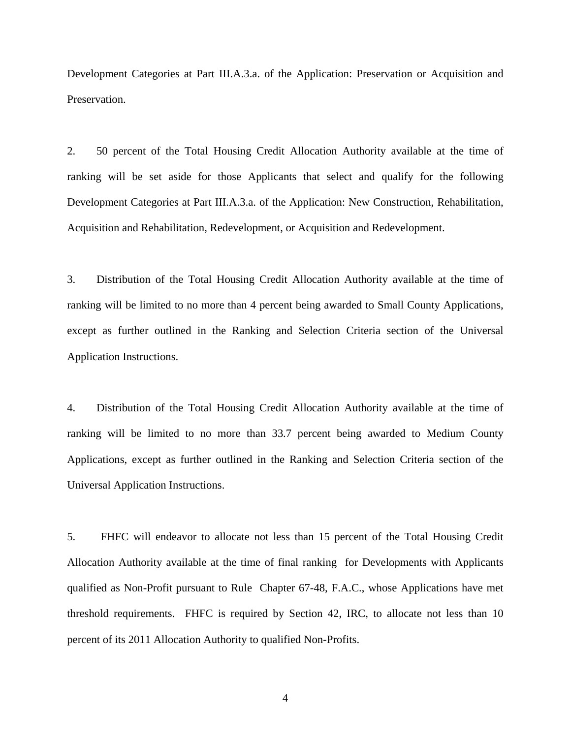Development Categories at Part III.A.3.a. of the Application: Preservation or Acquisition and Preservation.

2. 50 percent of the Total Housing Credit Allocation Authority available at the time of ranking will be set aside for those Applicants that select and qualify for the following Development Categories at Part III.A.3.a. of the Application: New Construction, Rehabilitation, Acquisition and Rehabilitation, Redevelopment, or Acquisition and Redevelopment.

3. Distribution of the Total Housing Credit Allocation Authority available at the time of ranking will be limited to no more than 4 percent being awarded to Small County Applications, except as further outlined in the Ranking and Selection Criteria section of the Universal Application Instructions.

4. Distribution of the Total Housing Credit Allocation Authority available at the time of ranking will be limited to no more than 33.7 percent being awarded to Medium County Applications, except as further outlined in the Ranking and Selection Criteria section of the Universal Application Instructions.

5. FHFC will endeavor to allocate not less than 15 percent of the Total Housing Credit Allocation Authority available at the time of final ranking for Developments with Applicants qualified as Non-Profit pursuant to Rule Chapter 67-48, F.A.C., whose Applications have met threshold requirements. FHFC is required by Section 42, IRC, to allocate not less than 10 percent of its 2011 Allocation Authority to qualified Non-Profits.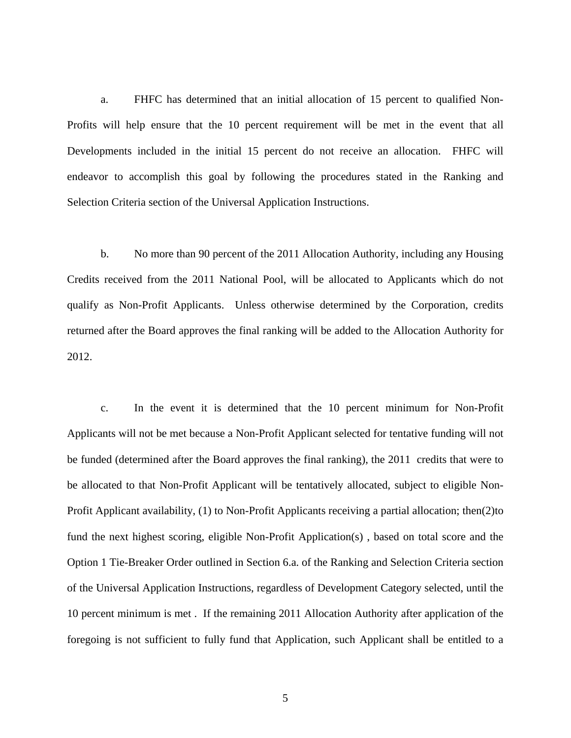a. FHFC has determined that an initial allocation of 15 percent to qualified Non-Profits will help ensure that the 10 percent requirement will be met in the event that all Developments included in the initial 15 percent do not receive an allocation. FHFC will endeavor to accomplish this goal by following the procedures stated in the Ranking and Selection Criteria section of the Universal Application Instructions.

b. No more than 90 percent of the 2011 Allocation Authority, including any Housing Credits received from the 2011 National Pool, will be allocated to Applicants which do not qualify as Non-Profit Applicants. Unless otherwise determined by the Corporation, credits returned after the Board approves the final ranking will be added to the Allocation Authority for 2012.

c. In the event it is determined that the 10 percent minimum for Non-Profit Applicants will not be met because a Non-Profit Applicant selected for tentative funding will not be funded (determined after the Board approves the final ranking), the 2011 credits that were to be allocated to that Non-Profit Applicant will be tentatively allocated, subject to eligible Non-Profit Applicant availability, (1) to Non-Profit Applicants receiving a partial allocation; then(2)to fund the next highest scoring, eligible Non-Profit Application(s) , based on total score and the Option 1 Tie-Breaker Order outlined in Section 6.a. of the Ranking and Selection Criteria section of the Universal Application Instructions, regardless of Development Category selected, until the 10 percent minimum is met . If the remaining 2011 Allocation Authority after application of the foregoing is not sufficient to fully fund that Application, such Applicant shall be entitled to a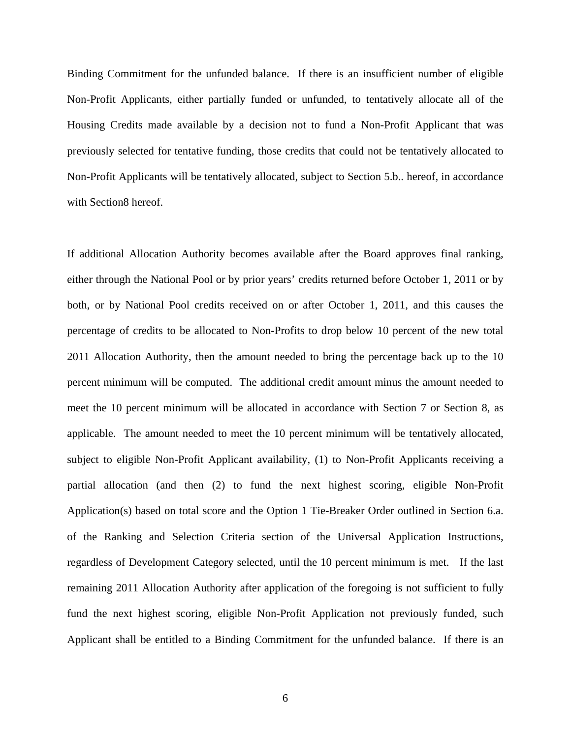Binding Commitment for the unfunded balance. If there is an insufficient number of eligible Non-Profit Applicants, either partially funded or unfunded, to tentatively allocate all of the Housing Credits made available by a decision not to fund a Non-Profit Applicant that was previously selected for tentative funding, those credits that could not be tentatively allocated to Non-Profit Applicants will be tentatively allocated, subject to Section 5.b.. hereof, in accordance with Section8 hereof.

If additional Allocation Authority becomes available after the Board approves final ranking, either through the National Pool or by prior years' credits returned before October 1, 2011 or by both, or by National Pool credits received on or after October 1, 2011, and this causes the percentage of credits to be allocated to Non-Profits to drop below 10 percent of the new total 2011 Allocation Authority, then the amount needed to bring the percentage back up to the 10 percent minimum will be computed. The additional credit amount minus the amount needed to meet the 10 percent minimum will be allocated in accordance with Section 7 or Section 8, as applicable. The amount needed to meet the 10 percent minimum will be tentatively allocated, subject to eligible Non-Profit Applicant availability, (1) to Non-Profit Applicants receiving a partial allocation (and then (2) to fund the next highest scoring, eligible Non-Profit Application(s) based on total score and the Option 1 Tie-Breaker Order outlined in Section 6.a. of the Ranking and Selection Criteria section of the Universal Application Instructions, regardless of Development Category selected, until the 10 percent minimum is met. If the last remaining 2011 Allocation Authority after application of the foregoing is not sufficient to fully fund the next highest scoring, eligible Non-Profit Application not previously funded, such Applicant shall be entitled to a Binding Commitment for the unfunded balance. If there is an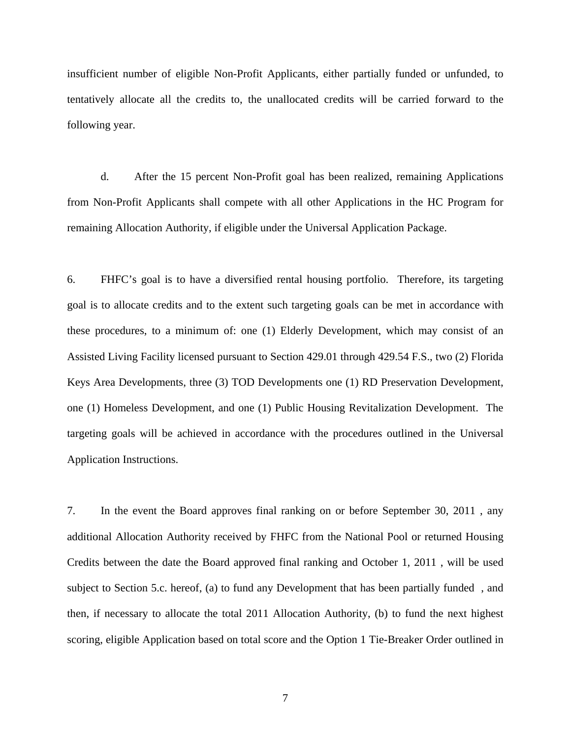insufficient number of eligible Non-Profit Applicants, either partially funded or unfunded, to tentatively allocate all the credits to, the unallocated credits will be carried forward to the following year.

d. After the 15 percent Non-Profit goal has been realized, remaining Applications from Non-Profit Applicants shall compete with all other Applications in the HC Program for remaining Allocation Authority, if eligible under the Universal Application Package.

6. FHFC's goal is to have a diversified rental housing portfolio. Therefore, its targeting goal is to allocate credits and to the extent such targeting goals can be met in accordance with these procedures, to a minimum of: one (1) Elderly Development, which may consist of an Assisted Living Facility licensed pursuant to Section 429.01 through 429.54 F.S., two (2) Florida Keys Area Developments, three (3) TOD Developments one (1) RD Preservation Development, one (1) Homeless Development, and one (1) Public Housing Revitalization Development. The targeting goals will be achieved in accordance with the procedures outlined in the Universal Application Instructions.

7. In the event the Board approves final ranking on or before September 30, 2011 , any additional Allocation Authority received by FHFC from the National Pool or returned Housing Credits between the date the Board approved final ranking and October 1, 2011 , will be used subject to Section 5.c. hereof, (a) to fund any Development that has been partially funded , and then, if necessary to allocate the total 2011 Allocation Authority, (b) to fund the next highest scoring, eligible Application based on total score and the Option 1 Tie-Breaker Order outlined in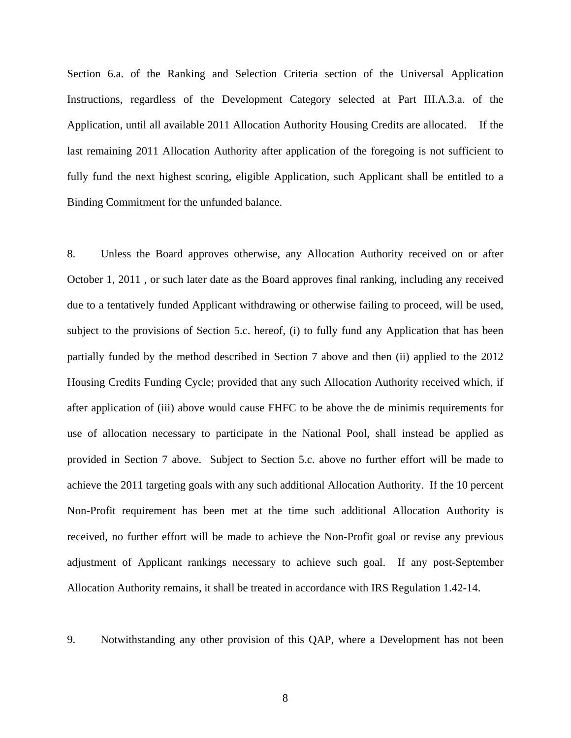Section 6.a. of the Ranking and Selection Criteria section of the Universal Application Instructions, regardless of the Development Category selected at Part III.A.3.a. of the Application, until all available 2011 Allocation Authority Housing Credits are allocated. If the last remaining 2011 Allocation Authority after application of the foregoing is not sufficient to fully fund the next highest scoring, eligible Application, such Applicant shall be entitled to a Binding Commitment for the unfunded balance.

8. Unless the Board approves otherwise, any Allocation Authority received on or after October 1, 2011 , or such later date as the Board approves final ranking, including any received due to a tentatively funded Applicant withdrawing or otherwise failing to proceed, will be used, subject to the provisions of Section 5.c. hereof, (i) to fully fund any Application that has been partially funded by the method described in Section 7 above and then (ii) applied to the 2012 Housing Credits Funding Cycle; provided that any such Allocation Authority received which, if after application of (iii) above would cause FHFC to be above the de minimis requirements for use of allocation necessary to participate in the National Pool, shall instead be applied as provided in Section 7 above. Subject to Section 5.c. above no further effort will be made to achieve the 2011 targeting goals with any such additional Allocation Authority. If the 10 percent Non-Profit requirement has been met at the time such additional Allocation Authority is received, no further effort will be made to achieve the Non-Profit goal or revise any previous adjustment of Applicant rankings necessary to achieve such goal. If any post-September Allocation Authority remains, it shall be treated in accordance with IRS Regulation 1.42-14.

9. Notwithstanding any other provision of this QAP, where a Development has not been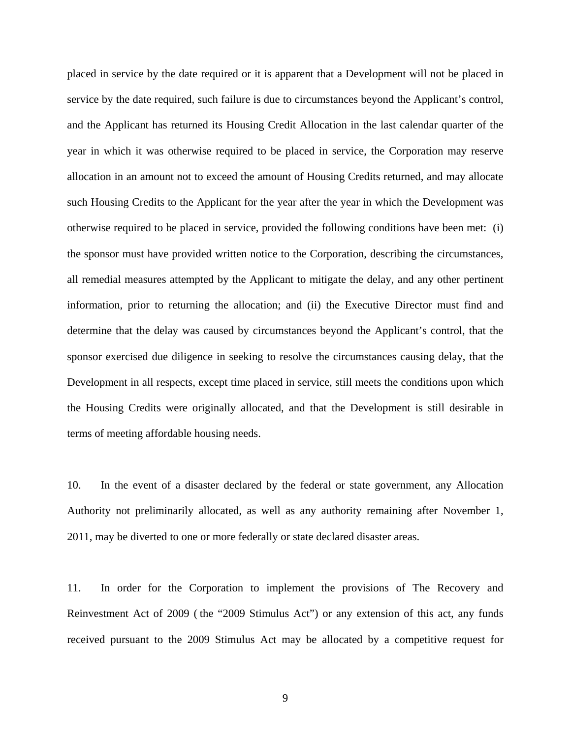placed in service by the date required or it is apparent that a Development will not be placed in service by the date required, such failure is due to circumstances beyond the Applicant's control, and the Applicant has returned its Housing Credit Allocation in the last calendar quarter of the year in which it was otherwise required to be placed in service, the Corporation may reserve allocation in an amount not to exceed the amount of Housing Credits returned, and may allocate such Housing Credits to the Applicant for the year after the year in which the Development was otherwise required to be placed in service, provided the following conditions have been met: (i) the sponsor must have provided written notice to the Corporation, describing the circumstances, all remedial measures attempted by the Applicant to mitigate the delay, and any other pertinent information, prior to returning the allocation; and (ii) the Executive Director must find and determine that the delay was caused by circumstances beyond the Applicant's control, that the sponsor exercised due diligence in seeking to resolve the circumstances causing delay, that the Development in all respects, except time placed in service, still meets the conditions upon which the Housing Credits were originally allocated, and that the Development is still desirable in terms of meeting affordable housing needs.

10. In the event of a disaster declared by the federal or state government, any Allocation Authority not preliminarily allocated, as well as any authority remaining after November 1, 2011, may be diverted to one or more federally or state declared disaster areas.

11. In order for the Corporation to implement the provisions of The Recovery and Reinvestment Act of 2009 ( the "2009 Stimulus Act") or any extension of this act, any funds received pursuant to the 2009 Stimulus Act may be allocated by a competitive request for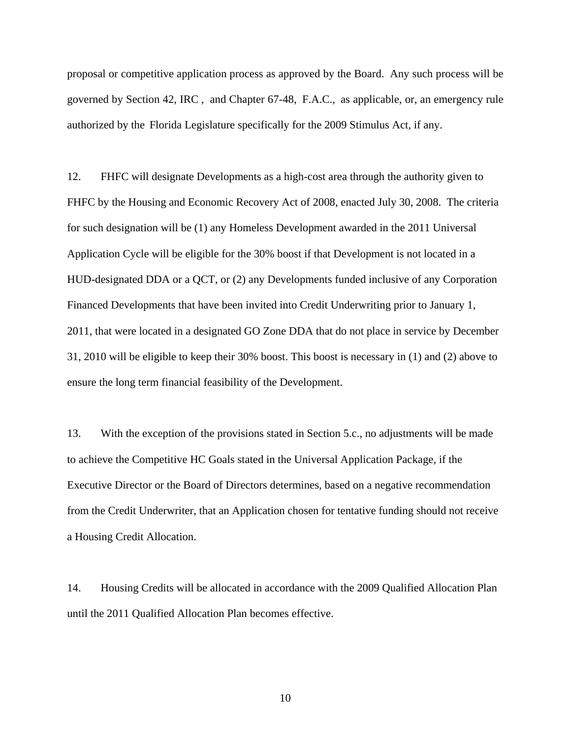proposal or competitive application process as approved by the Board. Any such process will be governed by Section 42, IRC , and Chapter 67-48, F.A.C., as applicable, or, an emergency rule authorized by the Florida Legislature specifically for the 2009 Stimulus Act, if any.

12. FHFC will designate Developments as a high-cost area through the authority given to FHFC by the Housing and Economic Recovery Act of 2008, enacted July 30, 2008. The criteria for such designation will be (1) any Homeless Development awarded in the 2011 Universal Application Cycle will be eligible for the 30% boost if that Development is not located in a HUD-designated DDA or a QCT, or (2) any Developments funded inclusive of any Corporation Financed Developments that have been invited into Credit Underwriting prior to January 1, 2011, that were located in a designated GO Zone DDA that do not place in service by December 31, 2010 will be eligible to keep their 30% boost. This boost is necessary in (1) and (2) above to ensure the long term financial feasibility of the Development.

13. With the exception of the provisions stated in Section 5.c., no adjustments will be made to achieve the Competitive HC Goals stated in the Universal Application Package, if the Executive Director or the Board of Directors determines, based on a negative recommendation from the Credit Underwriter, that an Application chosen for tentative funding should not receive a Housing Credit Allocation.

14. Housing Credits will be allocated in accordance with the 2009 Qualified Allocation Plan until the 2011 Qualified Allocation Plan becomes effective.

10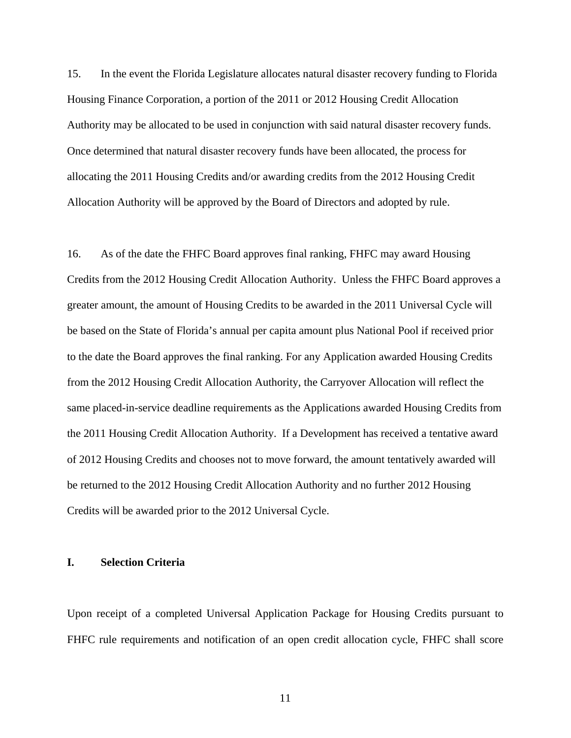15. In the event the Florida Legislature allocates natural disaster recovery funding to Florida Housing Finance Corporation, a portion of the 2011 or 2012 Housing Credit Allocation Authority may be allocated to be used in conjunction with said natural disaster recovery funds. Once determined that natural disaster recovery funds have been allocated, the process for allocating the 2011 Housing Credits and/or awarding credits from the 2012 Housing Credit Allocation Authority will be approved by the Board of Directors and adopted by rule.

16. As of the date the FHFC Board approves final ranking, FHFC may award Housing Credits from the 2012 Housing Credit Allocation Authority. Unless the FHFC Board approves a greater amount, the amount of Housing Credits to be awarded in the 2011 Universal Cycle will be based on the State of Florida's annual per capita amount plus National Pool if received prior to the date the Board approves the final ranking. For any Application awarded Housing Credits from the 2012 Housing Credit Allocation Authority, the Carryover Allocation will reflect the same placed-in-service deadline requirements as the Applications awarded Housing Credits from the 2011 Housing Credit Allocation Authority. If a Development has received a tentative award of 2012 Housing Credits and chooses not to move forward, the amount tentatively awarded will be returned to the 2012 Housing Credit Allocation Authority and no further 2012 Housing Credits will be awarded prior to the 2012 Universal Cycle.

### **I. Selection Criteria**

Upon receipt of a completed Universal Application Package for Housing Credits pursuant to FHFC rule requirements and notification of an open credit allocation cycle, FHFC shall score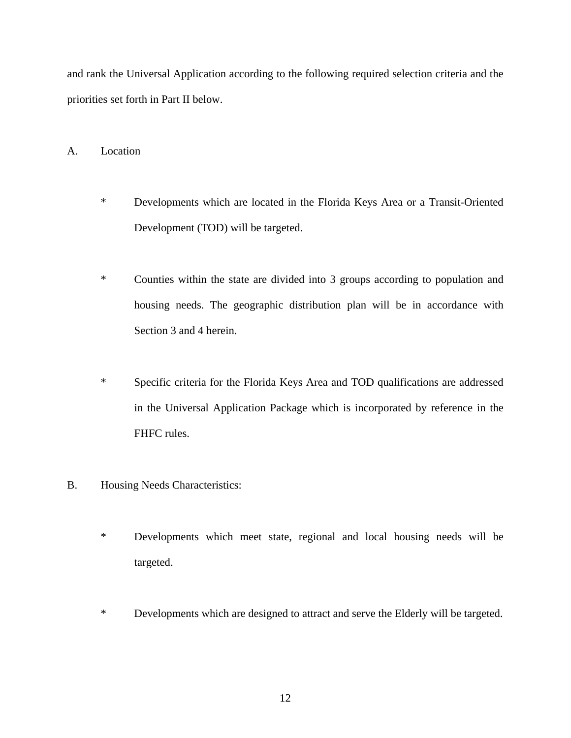and rank the Universal Application according to the following required selection criteria and the priorities set forth in Part II below.

A. Location

- \* Developments which are located in the Florida Keys Area or a Transit-Oriented Development (TOD) will be targeted.
- \* Counties within the state are divided into 3 groups according to population and housing needs. The geographic distribution plan will be in accordance with Section 3 and 4 herein.
- \* Specific criteria for the Florida Keys Area and TOD qualifications are addressed in the Universal Application Package which is incorporated by reference in the FHFC rules.
- B. Housing Needs Characteristics:
	- \* Developments which meet state, regional and local housing needs will be targeted.
	- \* Developments which are designed to attract and serve the Elderly will be targeted.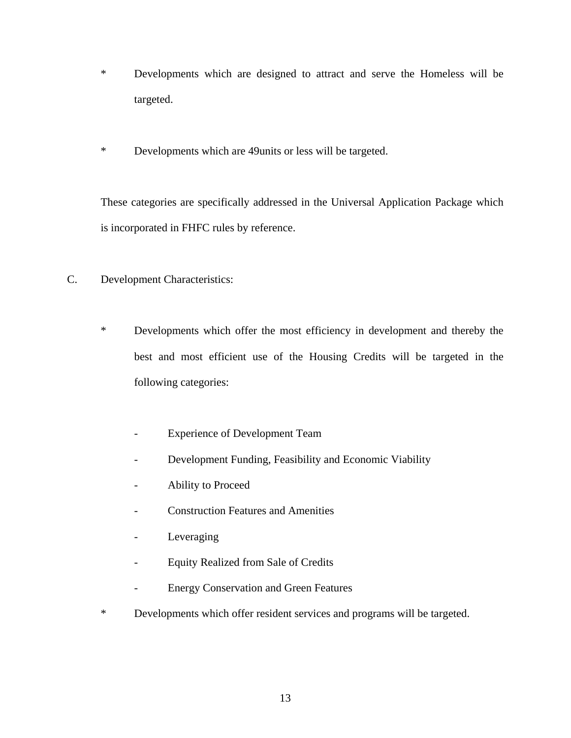- \* Developments which are designed to attract and serve the Homeless will be targeted.
- \* Developments which are 49units or less will be targeted.

These categories are specifically addressed in the Universal Application Package which is incorporated in FHFC rules by reference.

- C. Development Characteristics:
	- \* Developments which offer the most efficiency in development and thereby the best and most efficient use of the Housing Credits will be targeted in the following categories:
		- Experience of Development Team
		- Development Funding, Feasibility and Economic Viability
		- Ability to Proceed
		- Construction Features and Amenities
		- Leveraging
		- Equity Realized from Sale of Credits
		- Energy Conservation and Green Features
	- \* Developments which offer resident services and programs will be targeted.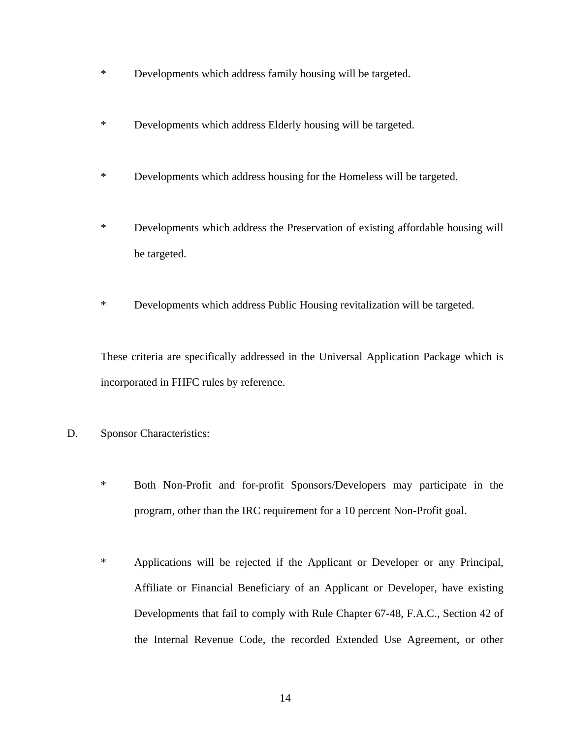- \* Developments which address family housing will be targeted.
- \* Developments which address Elderly housing will be targeted.
- \* Developments which address housing for the Homeless will be targeted.
- \* Developments which address the Preservation of existing affordable housing will be targeted.
- \* Developments which address Public Housing revitalization will be targeted.

These criteria are specifically addressed in the Universal Application Package which is incorporated in FHFC rules by reference.

- D. Sponsor Characteristics:
	- \* Both Non-Profit and for-profit Sponsors/Developers may participate in the program, other than the IRC requirement for a 10 percent Non-Profit goal.
	- \* Applications will be rejected if the Applicant or Developer or any Principal, Affiliate or Financial Beneficiary of an Applicant or Developer, have existing Developments that fail to comply with Rule Chapter 67-48, F.A.C., Section 42 of the Internal Revenue Code, the recorded Extended Use Agreement, or other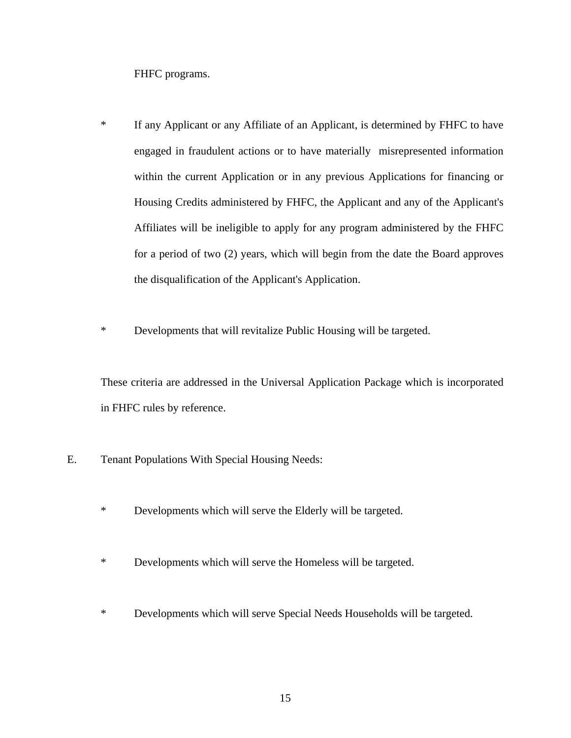FHFC programs.

- \* If any Applicant or any Affiliate of an Applicant, is determined by FHFC to have engaged in fraudulent actions or to have materially misrepresented information within the current Application or in any previous Applications for financing or Housing Credits administered by FHFC, the Applicant and any of the Applicant's Affiliates will be ineligible to apply for any program administered by the FHFC for a period of two (2) years, which will begin from the date the Board approves the disqualification of the Applicant's Application.
- \* Developments that will revitalize Public Housing will be targeted.

These criteria are addressed in the Universal Application Package which is incorporated in FHFC rules by reference.

- E. Tenant Populations With Special Housing Needs:
	- \* Developments which will serve the Elderly will be targeted.
	- \* Developments which will serve the Homeless will be targeted.
	- \* Developments which will serve Special Needs Households will be targeted.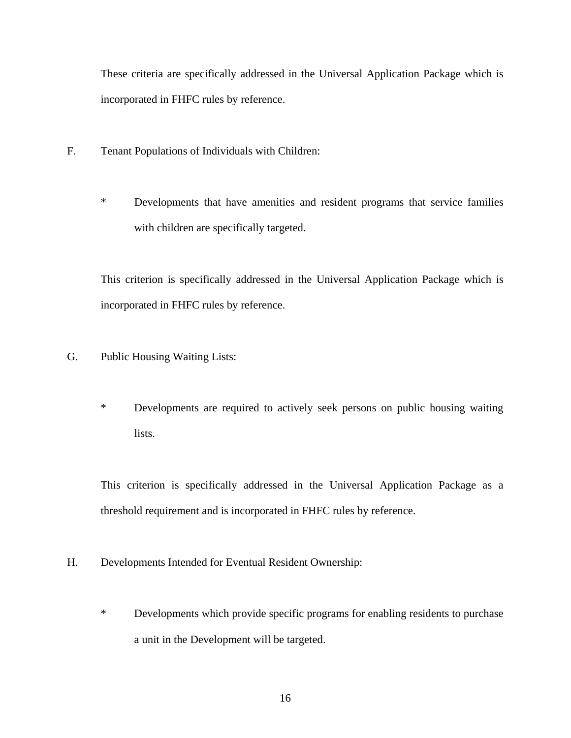These criteria are specifically addressed in the Universal Application Package which is incorporated in FHFC rules by reference.

- F. Tenant Populations of Individuals with Children:
	- \* Developments that have amenities and resident programs that service families with children are specifically targeted.

This criterion is specifically addressed in the Universal Application Package which is incorporated in FHFC rules by reference.

- G. Public Housing Waiting Lists:
	- \* Developments are required to actively seek persons on public housing waiting lists.

This criterion is specifically addressed in the Universal Application Package as a threshold requirement and is incorporated in FHFC rules by reference.

- H. Developments Intended for Eventual Resident Ownership:
	- \* Developments which provide specific programs for enabling residents to purchase a unit in the Development will be targeted.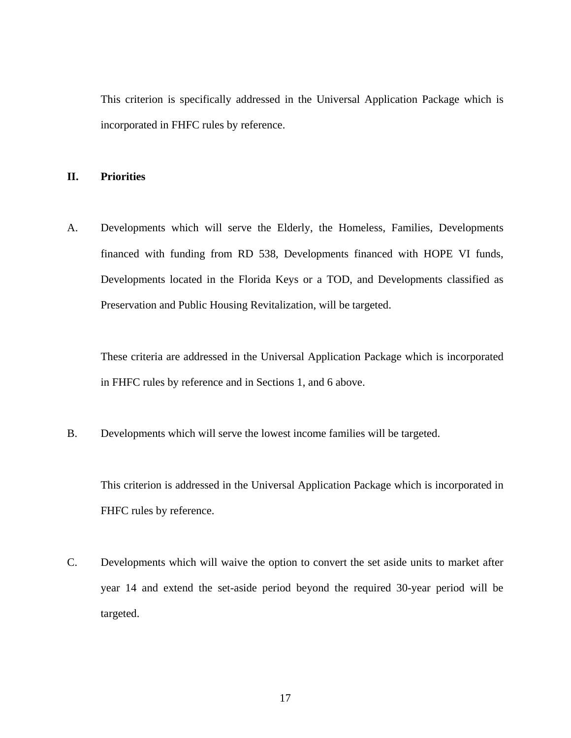This criterion is specifically addressed in the Universal Application Package which is incorporated in FHFC rules by reference.

## **II. Priorities**

A. Developments which will serve the Elderly, the Homeless, Families, Developments financed with funding from RD 538, Developments financed with HOPE VI funds, Developments located in the Florida Keys or a TOD, and Developments classified as Preservation and Public Housing Revitalization, will be targeted.

These criteria are addressed in the Universal Application Package which is incorporated in FHFC rules by reference and in Sections 1, and 6 above.

B. Developments which will serve the lowest income families will be targeted.

This criterion is addressed in the Universal Application Package which is incorporated in FHFC rules by reference.

C. Developments which will waive the option to convert the set aside units to market after year 14 and extend the set-aside period beyond the required 30-year period will be targeted.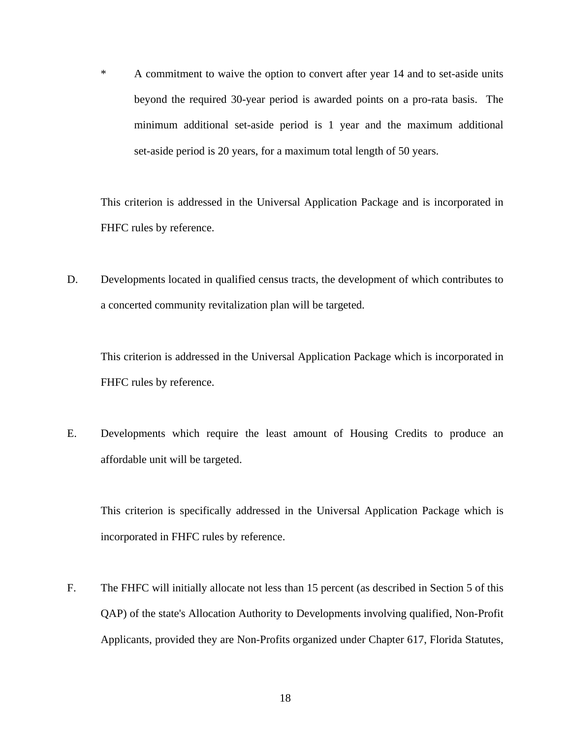\* A commitment to waive the option to convert after year 14 and to set-aside units beyond the required 30-year period is awarded points on a pro-rata basis. The minimum additional set-aside period is 1 year and the maximum additional set-aside period is 20 years, for a maximum total length of 50 years.

This criterion is addressed in the Universal Application Package and is incorporated in FHFC rules by reference.

D. Developments located in qualified census tracts, the development of which contributes to a concerted community revitalization plan will be targeted.

This criterion is addressed in the Universal Application Package which is incorporated in FHFC rules by reference.

E. Developments which require the least amount of Housing Credits to produce an affordable unit will be targeted.

This criterion is specifically addressed in the Universal Application Package which is incorporated in FHFC rules by reference.

F. The FHFC will initially allocate not less than 15 percent (as described in Section 5 of this QAP) of the state's Allocation Authority to Developments involving qualified, Non-Profit Applicants, provided they are Non-Profits organized under Chapter 617, Florida Statutes,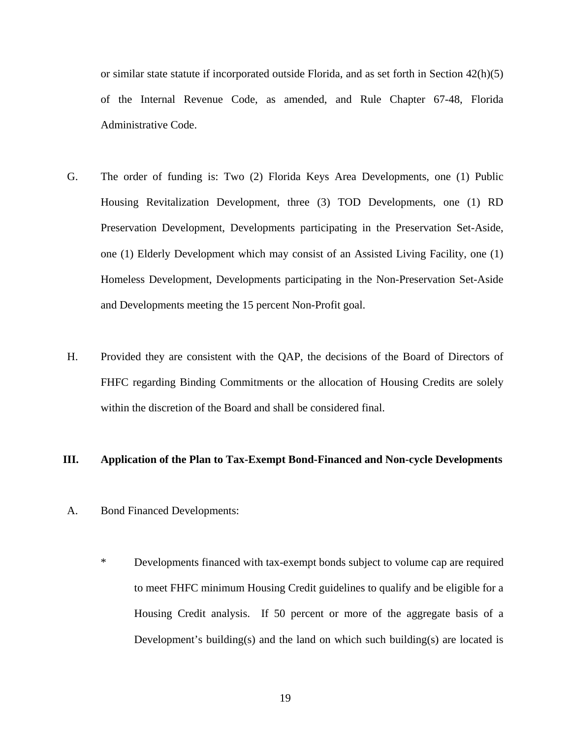or similar state statute if incorporated outside Florida, and as set forth in Section 42(h)(5) of the Internal Revenue Code, as amended, and Rule Chapter 67-48, Florida Administrative Code.

- G. The order of funding is: Two (2) Florida Keys Area Developments, one (1) Public Housing Revitalization Development, three (3) TOD Developments, one (1) RD Preservation Development, Developments participating in the Preservation Set-Aside, one (1) Elderly Development which may consist of an Assisted Living Facility, one (1) Homeless Development, Developments participating in the Non-Preservation Set-Aside and Developments meeting the 15 percent Non-Profit goal.
- H. Provided they are consistent with the QAP, the decisions of the Board of Directors of FHFC regarding Binding Commitments or the allocation of Housing Credits are solely within the discretion of the Board and shall be considered final.

### **III. Application of the Plan to Tax-Exempt Bond-Financed and Non-cycle Developments**

- A. Bond Financed Developments:
	- \* Developments financed with tax-exempt bonds subject to volume cap are required to meet FHFC minimum Housing Credit guidelines to qualify and be eligible for a Housing Credit analysis. If 50 percent or more of the aggregate basis of a Development's building(s) and the land on which such building(s) are located is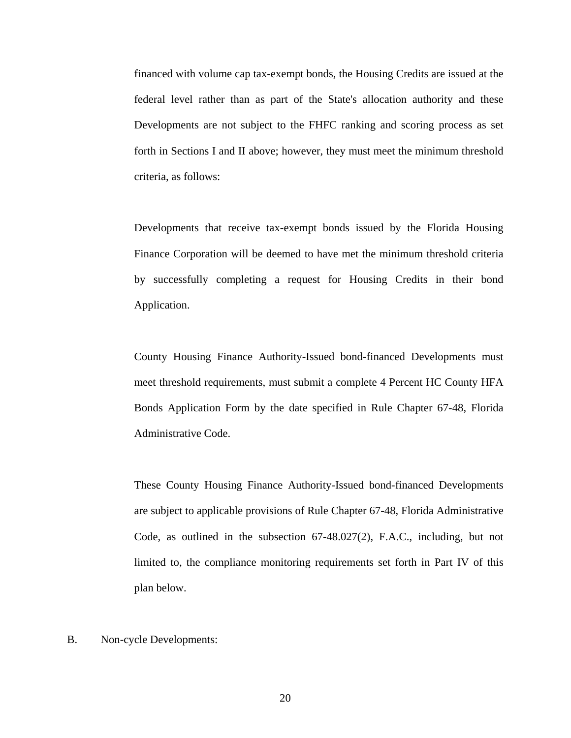financed with volume cap tax-exempt bonds, the Housing Credits are issued at the federal level rather than as part of the State's allocation authority and these Developments are not subject to the FHFC ranking and scoring process as set forth in Sections I and II above; however, they must meet the minimum threshold criteria, as follows:

Developments that receive tax-exempt bonds issued by the Florida Housing Finance Corporation will be deemed to have met the minimum threshold criteria by successfully completing a request for Housing Credits in their bond Application.

County Housing Finance Authority-Issued bond-financed Developments must meet threshold requirements, must submit a complete 4 Percent HC County HFA Bonds Application Form by the date specified in Rule Chapter 67-48, Florida Administrative Code.

These County Housing Finance Authority-Issued bond-financed Developments are subject to applicable provisions of Rule Chapter 67-48, Florida Administrative Code, as outlined in the subsection 67-48.027(2), F.A.C., including, but not limited to, the compliance monitoring requirements set forth in Part IV of this plan below.

B. Non-cycle Developments: